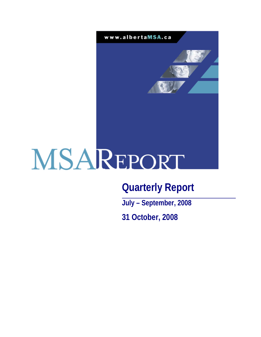

# **Quarterly Report**

**July – September, 2008** 

**31 October, 2008**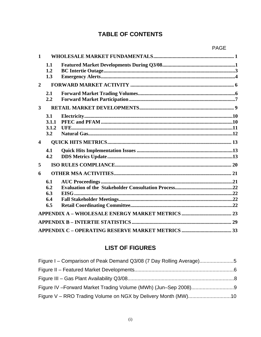# **TABLE OF CONTENTS**

| $\mathbf{1}$            |                                 |  |
|-------------------------|---------------------------------|--|
|                         | 1.1<br>1.2<br>1.3               |  |
| $\overline{2}$          |                                 |  |
|                         | 2.1<br>2.2                      |  |
| $\overline{3}$          |                                 |  |
|                         | 3.1<br>3.1.1<br>3.1.2<br>3.2    |  |
| $\overline{\mathbf{4}}$ |                                 |  |
|                         | 4.1<br>4.2                      |  |
| 5                       |                                 |  |
| 6                       |                                 |  |
|                         | 6.1<br>6.2<br>6.3<br>6.4<br>6.5 |  |
|                         |                                 |  |
|                         |                                 |  |
|                         |                                 |  |

# **LIST OF FIGURES**

| Figure I – Comparison of Peak Demand Q3/08 (7 Day Rolling Average)5 |  |
|---------------------------------------------------------------------|--|
|                                                                     |  |
|                                                                     |  |
|                                                                     |  |
|                                                                     |  |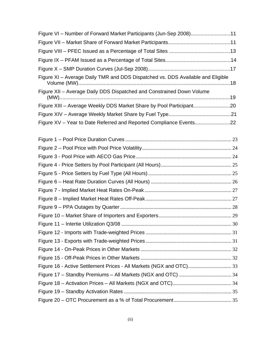| Figure VI - Number of Forward Market Participants (Jun-Sep 2008)11              |  |
|---------------------------------------------------------------------------------|--|
|                                                                                 |  |
|                                                                                 |  |
|                                                                                 |  |
|                                                                                 |  |
| Figure XI - Average Daily TMR and DDS Dispatched vs. DDS Available and Eligible |  |
| Figure XII - Average Daily DDS Dispatched and Constrained Down Volume           |  |
| Figure XIII - Average Weekly DDS Market Share by Pool Participant20             |  |
|                                                                                 |  |
| Figure XV - Year to Date Referred and Reported Compliance Events22              |  |
|                                                                                 |  |
|                                                                                 |  |
|                                                                                 |  |
|                                                                                 |  |
|                                                                                 |  |
|                                                                                 |  |
|                                                                                 |  |
|                                                                                 |  |
|                                                                                 |  |
|                                                                                 |  |
|                                                                                 |  |
|                                                                                 |  |
|                                                                                 |  |
|                                                                                 |  |
|                                                                                 |  |
|                                                                                 |  |
|                                                                                 |  |
|                                                                                 |  |
|                                                                                 |  |
|                                                                                 |  |
|                                                                                 |  |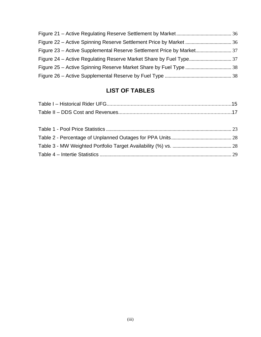# **LIST OF TABLES**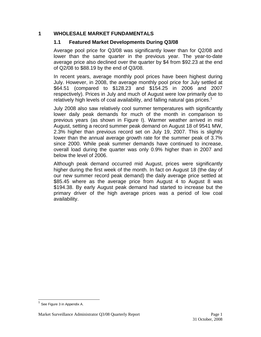#### **1 WHOLESALE MARKET FUNDAMENTALS**

#### **1.1 Featured Market Developments During Q3/08**

Average pool price for Q3/08 was significantly lower than for Q2/08 and lower than the same quarter in the previous year. The year-to-date average price also declined over the quarter by \$4 from \$92.23 at the end of Q2/08 to \$88.19 by the end of Q3/08.

In recent years, average monthly pool prices have been highest during July. However, in 2008, the average monthly pool price for July settled at \$64.51 (compared to \$128.23 and \$154.25 in 2006 and 2007 respectively). Prices in July and much of August were low primarily due to relatively high levels of coal availability, and falling natural gas prices.<sup>1</sup>

July 2008 also saw relatively cool summer temperatures with significantly lower daily peak demands for much of the month in comparison to previous years (as shown in Figure I). Warmer weather arrived in mid August, setting a record summer peak demand on August 18 of 9541 MW, 2.3% higher than previous record set on July 19, 2007. This is slightly lower than the annual average growth rate for the summer peak of 3.7% since 2000. While peak summer demands have continued to increase, overall load during the quarter was only 0.9% higher than in 2007 and below the level of 2006.

Although peak demand occurred mid August, prices were significantly higher during the first week of the month. In fact on August 18 (the day of our new summer record peak demand) the daily average price settled at \$85.45 where as the average price from August 4 to August 8 was \$194.38. By early August peak demand had started to increase but the primary driver of the high average prices was a period of low coal availability.

 $\overline{\phantom{a}}$ 

See Figure 3 in Appendix A.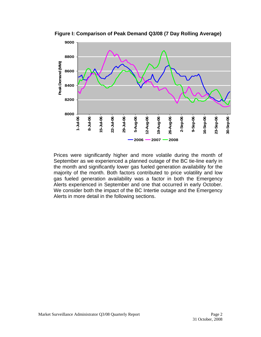

**Figure I: Comparison of Peak Demand Q3/08 (7 Day Rolling Average)** 

Prices were significantly higher and more volatile during the month of September as we experienced a planned outage of the BC tie-line early in the month and significantly lower gas fueled generation availability for the majority of the month. Both factors contributed to price volatility and low gas fueled generation availability was a factor in both the Emergency Alerts experienced in September and one that occurred in early October. We consider both the impact of the BC Intertie outage and the Emergency Alerts in more detail in the following sections.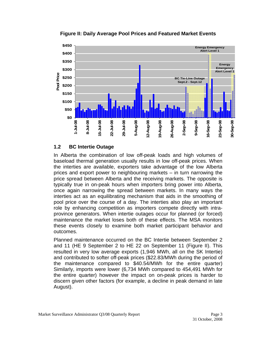

**Figure II: Daily Average Pool Prices and Featured Market Events** 

#### **1.2 BC Intertie Outage**

In Alberta the combination of low off-peak loads and high volumes of baseload thermal generation usually results in low off-peak prices. When the interties are available, exporters take advantage of the low Alberta prices and export power to neighbouring markets – in turn narrowing the price spread between Alberta and the receiving markets. The opposite is typically true in on-peak hours when importers bring power into Alberta, once again narrowing the spread between markets. In many ways the interties act as an equilibrating mechanism that aids in the smoothing of pool price over the course of a day. The interties also play an important role by enhancing competition as importers compete directly with intraprovince generators. When intertie outages occur for planned (or forced) maintenance the market loses both of these effects. The MSA monitors these events closely to examine both market participant behavior and outcomes.

Planned maintenance occurred on the BC Intertie between September 2 and 11 (HE 9 September 2 to HE 22 on September 11 (Figure II). This resulted in very low average exports (1,946 MWh, all on the SK Intertie) and contributed to softer off-peak prices (\$22.83/MWh during the period of the maintenance compared to \$40.54/MWh for the entire quarter) Similarly, imports were lower (6,734 MWh compared to 454,491 MWh for the entire quarter) however the impact on on-peak prices is harder to discern given other factors (for example, a decline in peak demand in late August).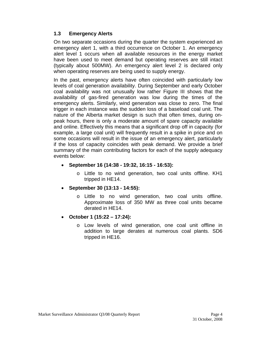#### **1.3 Emergency Alerts**

On two separate occasions during the quarter the system experienced an emergency alert 1, with a third occurrence on October 1. An emergency alert level 1 occurs when all available resources in the energy market have been used to meet demand but operating reserves are still intact (typically about 500MW). An emergency alert level 2 is declared only when operating reserves are being used to supply energy.

In the past, emergency alerts have often coincided with particularly low levels of coal generation availability. During September and early October coal availability was not unusually low rather Figure III shows that the availability of gas-fired generation was low during the times of the emergency alerts. Similarly, wind generation was close to zero. The final trigger in each instance was the sudden loss of a baseload coal unit. The nature of the Alberta market design is such that often times, during onpeak hours, there is only a moderate amount of spare capacity available and online. Effectively this means that a significant drop off in capacity (for example, a large coal unit) will frequently result in a spike in price and on some occasions will result in the issue of an emergency alert, particularly if the loss of capacity coincides with peak demand. We provide a brief summary of the main contributing factors for each of the supply adequacy events below:

- **September 16 (14:38 19:32, 16:15 16:53):**
	- o Little to no wind generation, two coal units offline. KH1 tripped in HE14.
- **September 30 (13:13 14:55):**
	- o Little to no wind generation, two coal units offline. Approximate loss of 350 MW as three coal units became derated in HE14.
- **October 1 (15:22 17:24):**
	- o Low levels of wind generation, one coal unit offline in addition to large derates at numerous coal plants. SD6 tripped in HE16.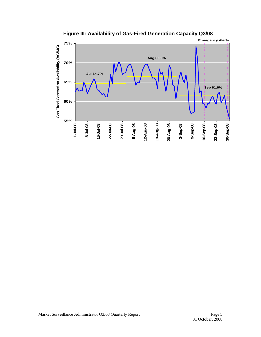

**Figure III: Availability of Gas-Fired Generation Capacity Q3/08**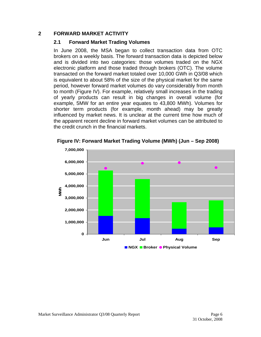#### **2 FORWARD MARKET ACTIVITY**

#### **2.1 Forward Market Trading Volumes**

In June 2008, the MSA began to collect transaction data from OTC brokers on a weekly basis. The forward transaction data is depicted below and is divided into two categories: those volumes traded on the NGX electronic platform and those traded through brokers (OTC). The volume transacted on the forward market totaled over 10,000 GWh in Q3/08 which is equivalent to about 58% of the size of the physical market for the same period, however forward market volumes do vary considerably from month to month (Figure IV). For example, relatively small increases in the trading of yearly products can result in big changes in overall volume (for example, 5MW for an entire year equates to 43,800 MWh). Volumes for shorter term products (for example, month ahead) may be greatly influenced by market news. It is unclear at the current time how much of the apparent recent decline in forward market volumes can be attributed to the credit crunch in the financial markets.



**Figure IV: Forward Market Trading Volume (MWh) (Jun – Sep 2008)**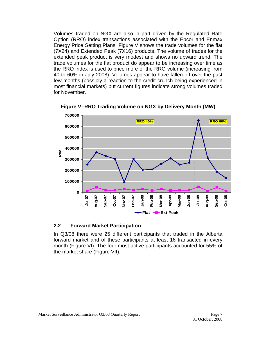Volumes traded on NGX are also in part driven by the Regulated Rate Option (RRO) index transactions associated with the Epcor and Enmax Energy Price Setting Plans. Figure V shows the trade volumes for the flat (7X24) and Extended Peak (7X16) products. The volume of trades for the extended peak product is very modest and shows no upward trend. The trade volumes for the flat product do appear to be increasing over time as the RRO index is used to price more of the RRO volume (increasing from 40 to 60% in July 2008). Volumes appear to have fallen off over the past few months (possibly a reaction to the credit crunch being experienced in most financial markets) but current figures indicate strong volumes traded for November.



**Figure V: RRO Trading Volume on NGX by Delivery Month (MW)** 

#### **2.2 Forward Market Participation**

In Q3/08 there were 25 different participants that traded in the Alberta forward market and of these participants at least 16 transacted in every month (Figure VI). The four most active participants accounted for 55% of the market share (Figure VII).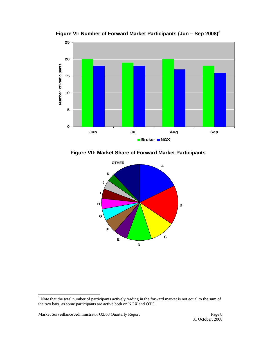

**Figure VI: Number of Forward Market Participants (Jun – Sep 2008)<sup>2</sup>**

**Figure VII: Market Share of Forward Market Participants** 



<sup>&</sup>lt;sup>2</sup> Note that the total number of participants actively trading in the forward market is not equal to the sum of the two bars, as some participants are active both on NGX and OTC.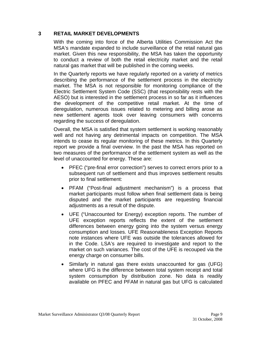#### **3 RETAIL MARKET DEVELOPMENTS**

With the coming into force of the Alberta Utilities Commission Act the MSA's mandate expanded to include surveillance of the retail natural gas market. Given this new responsibility, the MSA has taken the opportunity to conduct a review of both the retail electricity market and the retail natural gas market that will be published in the coming weeks.

In the Quarterly reports we have regularly reported on a variety of metrics describing the performance of the settlement process in the electricity market. The MSA is not responsible for monitoring compliance of the Electric Settlement System Code (SSC) (that responsibility rests with the AESO) but is interested in the settlement process in so far as it influences the development of the competitive retail market. At the time of deregulation, numerous issues related to metering and billing arose as new settlement agents took over leaving consumers with concerns regarding the success of deregulation.

Overall, the MSA is satisfied that system settlement is working reasonably well and not having any detrimental impacts on competition. The MSA intends to cease its regular monitoring of these metrics. In this Quarterly report we provide a final overview. In the past the MSA has reported on two measures of the performance of the settlement system as well as the level of unaccounted for energy. These are:

- PFEC ("pre-final error correction") serves to correct errors prior to a subsequent run of settlement and thus improves settlement results prior to final settlement:
- PFAM ("Post-final adjustment mechanism") is a process that market participants must follow when final settlement data is being disputed and the market participants are requesting financial adjustments as a result of the dispute.
- UFE ("Unaccounted for Energy) exception reports. The number of UFE exception reports reflects the extent of the settlement differences between energy going into the system versus energy consumption and losses. UFE Reasonableness Exception Reports note instances where UFE was outside the tolerances allowed for in the Code. LSA's are required to investigate and report to the market on such variances. The cost of the UFE is recouped via the energy charge on consumer bills.
- Similarly in natural gas there exists unaccounted for gas (UFG) where UFG is the difference between total system receipt and total system consumption by distribution zone. No data is readily available on PFEC and PFAM in natural gas but UFG is calculated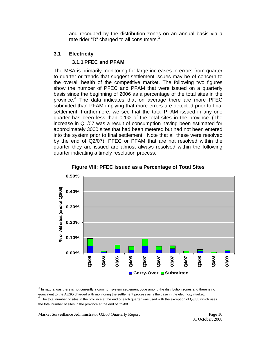and recouped by the distribution zones on an annual basis via a rate rider "D" charged to all consumers. $3$ 

#### **3.1 Electricity**

#### **3.1.1 PFEC and PFAM**

The MSA is primarily monitoring for large increases in errors from quarter to quarter or trends that suggest settlement issues may be of concern to the overall health of the competitive market. The following two figures show the number of PFEC and PFAM that were issued on a quarterly basis since the beginning of 2006 as a percentage of the total sites in the province.<sup>4</sup> The data indicates that on average there are more PFEC submitted than PFAM implying that more errors are detected prior to final settlement. Furthermore, we see that the total PFAM issued in any one quarter has been less than 0.1% of the total sites in the province. (The increase in Q1/07 was a result of consumption having been estimated for approximately 3000 sites that had been metered but had not been entered into the system prior to final settlement. Note that all these were resolved by the end of Q2/07). PFEC or PFAM that are not resolved within the quarter they are issued are almost always resolved within the following quarter indicating a timely resolution process.



**Figure VIII: PFEC issued as a Percentage of Total Sites**

<sup>3</sup> In natural gas there is not currently a common system settlement code among the distribution zones and there is no

equivalent to the AESO charged with monitoring the settlement process as is the case in the electricity market.<br> $4$  The total number of sites in the province at the end of each quarter was used with the exception of Q3/08 the total number of sites in the province at the end of Q2/08.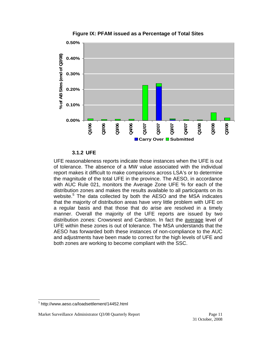

**Figure IX: PFAM issued as a Percentage of Total Sites** 

#### **3.1.2 UFE**

UFE reasonableness reports indicate those instances when the UFE is out of tolerance. The absence of a MW value associated with the individual report makes it difficult to make comparisons across LSA's or to determine the magnitude of the total UFE in the province. The AESO, in accordance with AUC Rule 021, monitors the Average Zone UFE % for each of the distribution zones and makes the results available to all participants on its website.<sup>5</sup> The data collected by both the AESO and the MSA indicates that the majority of distribution areas have very little problem with UFE on a regular basis and that those that do arise are resolved in a timely manner. Overall the majority of the UFE reports are issued by two distribution zones: Crowsnest and Cardston. In fact the average level of UFE within these zones is out of tolerance. The MSA understands that the AESO has forwarded both these instances of non-compliance to the AUC and adjustments have been made to correct for the high levels of UFE and both zones are working to become compliant with the SSC.

 $\overline{\phantom{a}}$ 

<sup>5</sup> http://www.aeso.ca/loadsettlement/14452.html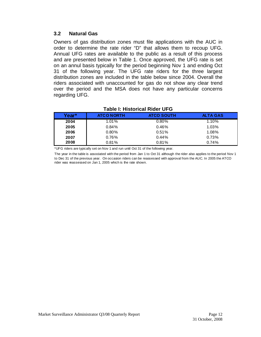#### **3.2 Natural Gas**

Owners of gas distribution zones must file applications with the AUC in order to determine the rate rider "D" that allows them to recoup UFG. Annual UFG rates are available to the public as a result of this process and are presented below in Table 1. Once approved, the UFG rate is set on an annul basis typically for the period beginning Nov 1 and ending Oct 31 of the following year. The UFG rate riders for the three largest distribution zones are included in the table below since 2004. Overall the riders associated with unaccounted for gas do not show any clear trend over the period and the MSA does not have any particular concerns regarding UFG.

| Year* | <b>ATCO NORTH</b> | <b>ATCO SOUTH</b> | <b>ALTA GAS</b> |
|-------|-------------------|-------------------|-----------------|
| 2004  | $1.01\%$          | 0.80%             | 1.10%           |
| 2005  | 0.84%             | 0.46%             | 1.03%           |
| 2006  | $0.80\%$          | 0.51%             | 1.08%           |
| 2007  | 0.76%             | 0.44%             | 0.73%           |
| 2008  | 0.81%             | 0.81%             | 0.74%           |

#### **Table I: Historical Rider UFG**

\*UFG riders are typically set on Nov 1 and run until Oct 31 of the following year.

The year in the table is associated with the period from Jan 1 to Oct 31 although the rider also applies to the period Nov 1 to Dec 31 of the previous year. On occasion riders can be reassessed with approval from the AUC. In 2005 the ATCO rider was reassessed on Jan 1, 2005 which is the rate shown.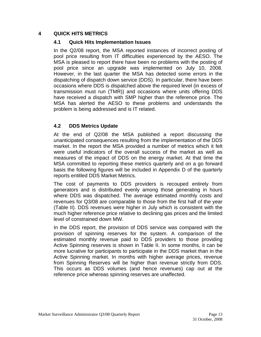#### **4 QUICK HITS METRICS**

#### **4.1 Quick Hits Implementation Issues**

In the Q2/08 report, the MSA reported instances of incorrect posting of pool price resulting from IT difficulties experienced by the AESO. The MSA is pleased to report there have been no problems with the posting of pool price since an upgrade was implemented on July 10, 2008. However, in the last quarter the MSA has detected some errors in the dispatching of dispatch down service (DDS). In particular, there have been occasions where DDS is dispatched above the required level (in excess of transmission must run (TMR)) and occasions where units offering DDS have received a dispatch with SMP higher than the reference price. The MSA has alerted the AESO to these problems and understands the problem is being addressed and is IT related.

#### **4.2 DDS Metrics Update**

At the end of Q2/08 the MSA published a report discussing the unanticipated consequences resulting from the implementation of the DDS market. In the report the MSA provided a number of metrics which it felt were useful indicators of the overall success of the market as well as measures of the impact of DDS on the energy market. At that time the MSA committed to reporting these metrics quarterly and on a go forward basis the following figures will be included in Appendix D of the quarterly reports entitled DDS Market Metrics.

The cost of payments to DDS providers is recouped entirely from generators and is distributed evenly among those generating in hours where DDS was dispatched. The average estimated monthly costs and revenues for Q3/08 are comparable to those from the first half of the year (Table II). DDS revenues were higher in July which is consistent with the much higher reference price relative to declining gas prices and the limited level of constrained down MW.

In the DDS report, the provision of DDS service was compared with the provision of spinning reserves for the system. A comparison of the estimated monthly revenue paid to DDS providers to those providing Active Spinning reserves is shown in Table II. In some months, it can be more lucrative for participants to participate in the DDS market than in the Active Spinning market. In months with higher average prices, revenue from Spinning Reserves will be higher than revenue strictly from DDS. This occurs as DDS volumes (and hence revenues) cap out at the reference price whereas spinning reserves are unaffected.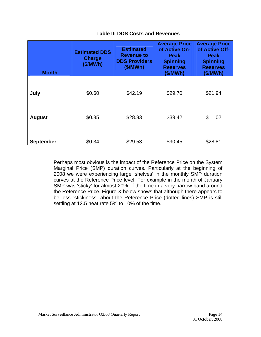| <b>Month</b>     | <b>Estimated DDS</b><br><b>Charge</b><br>(\$/MWh) |         | <b>Average Price</b><br>of Active On-<br><b>Peak</b><br><b>Spinning</b><br><b>Reserves</b><br>(S/MWh) | <b>Average Price</b><br>of Active Off-<br><b>Peak</b><br><b>Spinning</b><br><b>Reserves</b><br>(S/MWh) |  |
|------------------|---------------------------------------------------|---------|-------------------------------------------------------------------------------------------------------|--------------------------------------------------------------------------------------------------------|--|
| July             | \$0.60                                            | \$42.19 | \$29.70                                                                                               | \$21.94                                                                                                |  |
| <b>August</b>    | \$0.35                                            | \$28.83 | \$39.42                                                                                               | \$11.02                                                                                                |  |
| <b>September</b> | \$0.34                                            | \$29.53 | \$90.45                                                                                               | \$28.81                                                                                                |  |

#### **Table II: DDS Costs and Revenues**

Perhaps most obvious is the impact of the Reference Price on the System Marginal Price (SMP) duration curves. Particularly at the beginning of 2008 we were experiencing large 'shelves' in the monthly SMP duration curves at the Reference Price level. For example in the month of January SMP was 'sticky' for almost 20% of the time in a very narrow band around the Reference Price. Figure X below shows that although there appears to be less "stickiness" about the Reference Price (dotted lines) SMP is still settling at 12.5 heat rate 5% to 10% of the time.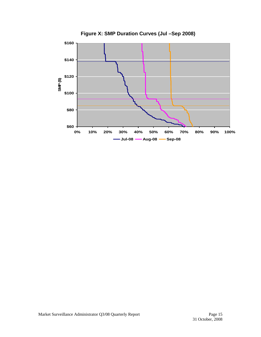

**Figure X: SMP Duration Curves (Jul –Sep 2008)**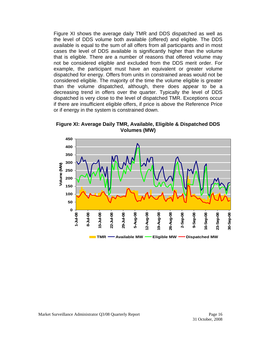Figure XI shows the average daily TMR and DDS dispatched as well as the level of DDS volume both available (offered) and eligible. The DDS available is equal to the sum of all offers from all participants and in most cases the level of DDS available is significantly higher than the volume that is eligible. There are a number of reasons that offered volume may not be considered eligible and excluded from the DDS merit order. For example, the participant must have an equivalent or greater volume dispatched for energy. Offers from units in constrained areas would not be considered eligible. The majority of the time the volume eligible is greater than the volume dispatched, although, there does appear to be a decreasing trend in offers over the quarter. Typically the level of DDS dispatched is very close to the level of dispatched TMR. Exceptions occur if there are insufficient eligible offers, if price is above the Reference Price or if energy in the system is constrained down.

**450 400 350 300** Volume (MW) **Volume (MW) 250 200 150 100 50 0 1-Jul-08 2-Sep-08 9-Sep-08 8-Jul-08** 2-Aug-08 **12-Aug-08 19-Aug-08** 26-Aug-08 **26-Aug-08** 23-Sep-08 30-Sep-08 5-Jul-08 **15-Jul-08** 22-Jul-08 **22-Jul-08 80-DC-62 29-Jul-08 5-Aug-08** 9-Aug-08 **16-Sep-08 23-Sep-08 30-Sep-08 TMR —** Available MW **—** Eligible MW **—** Dispatched MW

**Figure XI: Average Daily TMR, Available, Eligible & Dispatched DDS Volumes (MW)**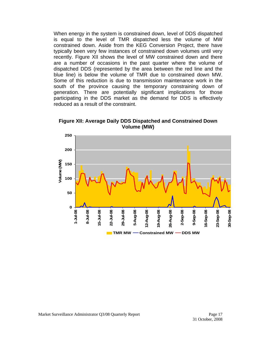When energy in the system is constrained down, level of DDS dispatched is equal to the level of TMR dispatched less the volume of MW constrained down. Aside from the KEG Conversion Project, there have typically been very few instances of constrained down volumes until very recently. Figure XII shows the level of MW constrained down and there are a number of occasions in the past quarter where the volume of dispatched DDS (represented by the area between the red line and the blue line) is below the volume of TMR due to constrained down MW. Some of this reduction is due to transmission maintenance work in the south of the province causing the temporary constraining down of generation. There are potentially significant implications for those participating in the DDS market as the demand for DDS is effectively reduced as a result of the constraint.

**Figure XII: Average Daily DDS Dispatched and Constrained Down Volume (MW)** 

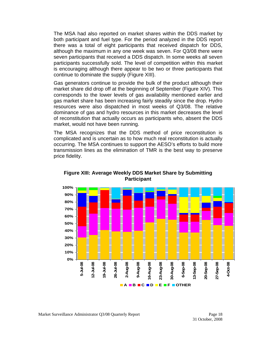The MSA had also reported on market shares within the DDS market by both participant and fuel type. For the period analyzed in the DDS report there was a total of eight participants that received dispatch for DDS, although the maximum in any one week was seven. For Q3/08 there were seven participants that received a DDS dispatch. In some weeks all seven participants successfully sold. The level of competition within this market is encouraging although there appear to be two or three participants that continue to dominate the supply (Figure XIII).

Gas generators continue to provide the bulk of the product although their market share did drop off at the beginning of September (Figure XIV). This corresponds to the lower levels of gas availability mentioned earlier and gas market share has been increasing fairly steadily since the drop. Hydro resources were also dispatched in most weeks of Q3/08. The relative dominance of gas and hydro resources in this market decreases the level of reconstitution that actually occurs as participants who, absent the DDS market, would not have been running.

The MSA recognizes that the DDS method of price reconstitution is complicated and is uncertain as to how much real reconstitution is actually occurring. The MSA continues to support the AESO's efforts to build more transmission lines as the elimination of TMR is the best way to preserve price fidelity.



**Figure XIII: Average Weekly DDS Market Share by Submitting Participant**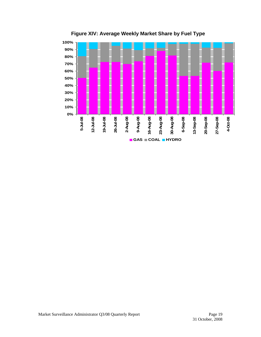

**Figure XIV: Average Weekly Market Share by Fuel Type**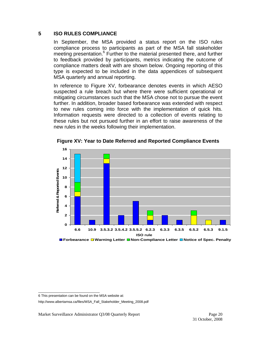#### **5 ISO RULES COMPLIANCE**

In September, the MSA provided a status report on the ISO rules compliance process to participants as part of the MSA fall stakeholder meeting presentation.<sup>6</sup> Further to the material presented there, and further to feedback provided by participants, metrics indicating the outcome of compliance matters dealt with are shown below. Ongoing reporting of this type is expected to be included in the data appendices of subsequent MSA quarterly and annual reporting.

In reference to Figure XV, forbearance denotes events in which AESO suspected a rule breach but where there were sufficient operational or mitigating circumstances such that the MSA chose not to pursue the event further. In addition, broader based forbearance was extended with respect to new rules coming into force with the implementation of quick hits. Information requests were directed to a collection of events relating to these rules but not pursued further in an effort to raise awareness of the new rules in the weeks following their implementation.



**Figure XV: Year to Date Referred and Reported Compliance Events** 

 6 This presentation can be found on the MSA website at:

[http://www.albertamsa.ca/files/MSA\\_Fall\\_Stakeholder\\_Meeting\\_2008.pdf](https://www.albertamsa.ca/assets/Documents/MSA_Fall_Stakeholder_Meeting_2008.pdf)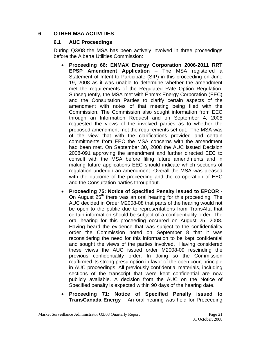#### **6 OTHER MSA ACTIVITIES**

#### **6.1 AUC Proceedings**

During Q3/08 the MSA has been actively involved in three proceedings before the Alberta Utilities Commission:

- **Proceeding 66: ENMAX Energy Corporation 2006-2011 RRT EPSP Amendment Application** – The MSA registered a Statement of Intent to Participate (SIP) in this proceeding on June 19, 2008 as it was unable to determine whether the amendment met the requirements of the Regulated Rate Option Regulation. Subsequently, the MSA met with Enmax Energy Corporation (EEC) and the Consultation Parties to clarify certain aspects of the amendment with notes of that meeting being filed with the Commission. The Commission also sought information from EEC through an Information Request and on September 4, 2008 requested the views of the involved parties as to whether the proposed amendment met the requirements set out. The MSA was of the view that with the clarifications provided and certain commitments from EEC the MSA concerns with the amendment had been met. On September 30, 2008 the AUC issued Decision 2008-091 approving the amendment and further directed EEC to consult with the MSA before filing future amendments and in making future applications EEC should indicate which sections of regulation underpin an amendment. Overall the MSA was pleased with the outcome of the proceeding and the co-operation of EEC and the Consultation parties throughout.
- **Proceeding 75: Notice of Specified Penalty issued to EPCOR** On August  $25<sup>th</sup>$  there was an oral hearing for this proceeding. The AUC decided in Order M2008-08 that parts of the hearing would not be open to the public due to representations from TransAlta that certain information should be subject of a confidentiality order. The oral hearing for this proceeding occurred on August 25, 2008. Having heard the evidence that was subject to the confidentiality order the Commission noted on September 8 that it was reconsidering the need for this information to be kept confidential and sought the views of the parties involved. Having considered these views the AUC issued order M2008-09 rescinding the previous confidentiality order. In doing so the Commission reaffirmed its strong presumption in favor of the open court principle in AUC proceedings. All previously confidential materials, including sections of the transcript that were kept confidential are now publicly available. A decision from the AUC on the Notice of Specified penalty is expected within 90 days of the hearing date.
- **Proceeding 71: Notice of Specified Penalty issued to TransCanada Energy** – An oral hearing was held for Proceeding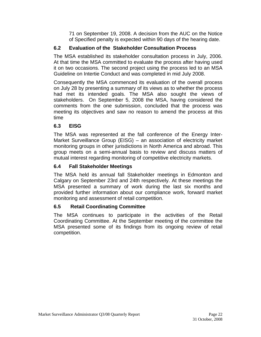71 on September 19, 2008. A decision from the AUC on the Notice of Specified penalty is expected within 90 days of the hearing date.

# **6.2 Evaluation of the Stakeholder Consultation Process**

The MSA established its stakeholder consultation process in July, 2006. At that time the MSA committed to evaluate the process after having used it on two occasions. The second project using the process led to an MSA Guideline on Intertie Conduct and was completed in mid July 2008.

Consequently the MSA commenced its evaluation of the overall process on July 28 by presenting a summary of its views as to whether the process had met its intended goals. The MSA also sought the views of stakeholders. On September 5, 2008 the MSA, having considered the comments from the one submission, concluded that the process was meeting its objectives and saw no reason to amend the process at this time

# **6.3 EISG**

The MSA was represented at the fall conference of the Energy Inter-Market Surveillance Group (EISG) – an association of electricity market monitoring groups in other jurisdictions in North America and abroad. This group meets on a semi-annual basis to review and discuss matters of mutual interest regarding monitoring of competitive electricity markets.

# **6.4 Fall Stakeholder Meetings**

The MSA held its annual fall Stakeholder meetings in Edmonton and Calgary on September 23rd and 24th respectively. At these meetings the MSA presented a summary of work during the last six months and provided further information about our compliance work, forward market monitoring and assessment of retail competition.

# **6.5 Retail Coordinating Committee**

The MSA continues to participate in the activities of the Retail Coordinating Committee. At the September meeting of the committee the MSA presented some of its findings from its ongoing review of retail competition.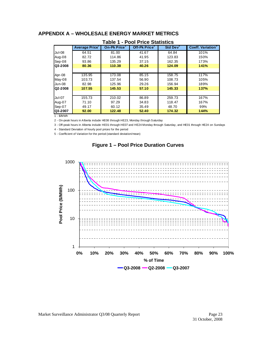#### **APPENDIX A – WHOLESALE ENERGY MARKET METRICS**

|               | <b>Average Price</b> | On-Pk Price <sup>2</sup> | Off-Pk Price <sup>3</sup> | Std Dev <sup>4</sup> | <b>Coeff. Variation</b> <sup>3</sup> |
|---------------|----------------------|--------------------------|---------------------------|----------------------|--------------------------------------|
| Jul-08        | 64.51                | 81.00                    | 41.67                     | 64.84                | 101%                                 |
| Aug-08        | 82.72                | 114.86                   | 41.95                     | 123.83               | 150%                                 |
| Sep-08        | 93.86                | 135.29                   | 37.15                     | 162.35               | 173%                                 |
| Q3-2008       | 80.36                | 110.38                   | 40.26                     | 124.09               | 141%                                 |
|               |                      |                          |                           |                      |                                      |
| Apr-08        | 135.95               | 173.08                   | 85.15                     | 158.75               | 117%                                 |
| May-08        | 103.73               | 137.54                   | 56.90                     | 108.73               | 105%                                 |
| Jun-08        | 82.98                | 125.96                   | 29.26                     | 156.94               | 189%                                 |
| Q2-2008       | 107.55               | 145.53                   | 57.10                     | 145.33               | 137%                                 |
|               |                      |                          |                           |                      |                                      |
| <b>Jul-07</b> | 155.73               | 210.02                   | 86.89                     | 259.73               | 167%                                 |
| Aug-07        | 71.10                | 97.29                    | 34.83                     | 118.47               | 167%                                 |
| Sep-07        | 49.17                | 60.12                    | 35.49                     | 48.70                | 99%                                  |
| Q3-2007       | 92.00                | 122.48                   | 52.40                     | 174.32               | 144%                                 |

#### **Table 1 - Pool Price Statistics**

1 - \$/MWh

2 - On-peak hours in Alberta include HE08 through HE23, Monday through Saturday

3 - Off-peak hours in Alberta include HE01 through HE07 and HE24 Monday through Saturday, and HE01 through HE24 on Sundays

4 - Standard Deviation of hourly pool prices for the period

5 - Coefficient of Variation for the period (standard deviation/mean)



#### **Figure 1 – Pool Price Duration Curves**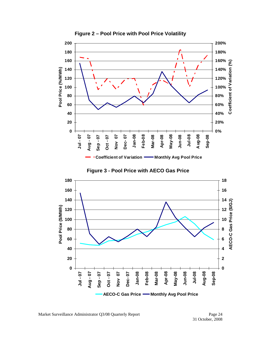

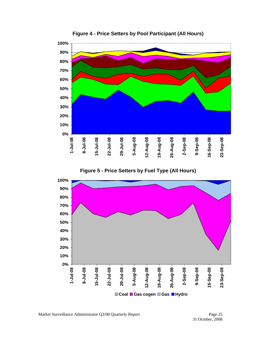

**Figure 4 - Price Setters by Pool Participant (All Hours)** 



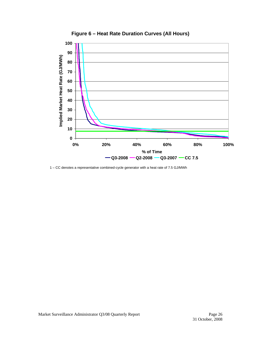

**Figure 6 – Heat Rate Duration Curves (All Hours)** 

1 – CC denotes a representative combined-cycle generator with a heat rate of 7.5 GJ/MWh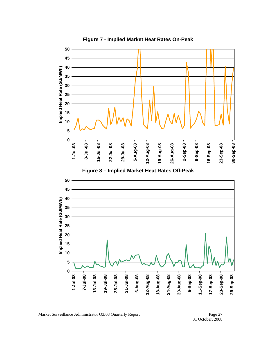

**Figure 7 - Implied Market Heat Rates On-Peak**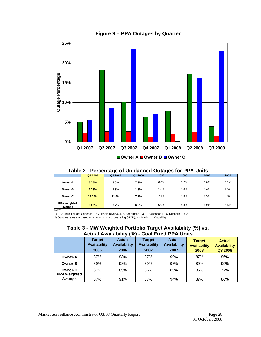

#### **Figure 9 – PPA Outages by Quarter**

|                                | Q3 2008 | Q2 2008 | Q1 2008 | 2007 | 2006 | 2005 | 2004 |  |  |
|--------------------------------|---------|---------|---------|------|------|------|------|--|--|
| Owner-A                        | 3.78%   | 3.6%    | 7.9%    | 6.0% | 5.2% | 5.0% | 6.1% |  |  |
| Owner-B                        | 1.39%   | 1.9%    | 1.9%    | 1.8% | 1.8% | 5.4% | 1.5% |  |  |
| Owner-C                        | 14.10%  | 11.4%   | 7.9%    | 7.1% | 5.3% | 6.5% | 6.3% |  |  |
| <b>PPA</b> weighted<br>average | 9.20%   | 7.7%    | 6.9%    | 6.0% | 4.8% | 5.9% | 5.5% |  |  |

# **Table 2 - Percentage of Unplanned Outages for PPA Units**

Note:

1) PPA units include: Genesee 1 & 2, Battle River 3, 4, 5, Sheerness 1 & 2, Sundance 1 - 6, Keephills 1 & 2

2) Outages rates are based on maximum continous rating (MCR), not Maximum Capability.

#### **Table 3 - MW Weighted Portfolio Target Availability (%) vs. Actual Availability (%) - Coal Fired PPA Units**

|                                | Target<br>Availability<br>2006 | <b>Actual</b><br><b>Availability</b><br>2006 | Target<br><b>Availability</b><br>2007 | <b>Actual</b><br><b>Availability</b><br>2007 | <b>Target</b><br><b>Availability</b><br>2008 | <b>Actual</b><br><b>Availability</b><br>Q3 2008 |
|--------------------------------|--------------------------------|----------------------------------------------|---------------------------------------|----------------------------------------------|----------------------------------------------|-------------------------------------------------|
| Owner-A                        | 87%                            | 93%                                          | 87%                                   | 90%                                          | 87%                                          | 96%                                             |
| Owner-B                        | 89%                            | 98%                                          | 89%                                   | 98%                                          | 89%                                          | 99%                                             |
| Owner-C<br><b>PPA</b> weighted | 87%                            | 89%                                          | 86%                                   | 89%                                          | 86%                                          | 77%                                             |
| Average                        | 87%                            | 91%                                          | 87%                                   | 94%                                          | 87%                                          | 86%                                             |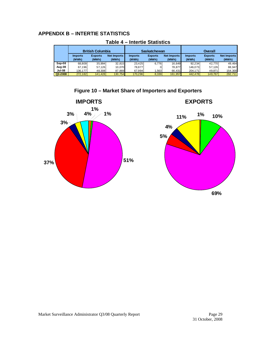# **APPENDIX B – INTERTIE STATISTICS**

|          | <b>British Columbia</b> |                         |                             | <b>Saskatchewan</b>     |                         |                      | <b>Overall</b>          |                         |                             |
|----------|-------------------------|-------------------------|-----------------------------|-------------------------|-------------------------|----------------------|-------------------------|-------------------------|-----------------------------|
|          | <b>Imports</b><br>(MWh) | <b>Exports</b><br>(MWh) | <b>Net Imports</b><br>(MWh) | <b>Imports</b><br>(MWh) | <b>Exports</b><br>(MWh) | Net Imports<br>(MWh) | <b>Imports</b><br>(MWh) | <b>Exports</b><br>(MWh) | <b>Net Imports</b><br>(MWh) |
| $Sep-08$ | 68.809                  | 35.994                  | 32.815                      | 23.425                  | 6.776                   | 16.649               | 92.234                  | 42.770                  | 49.464                      |
| Aug-08   | 67.196                  | 57.126                  | 10.070                      | 78.877                  | 01                      | 78.877               | 146.073                 | 57.126                  | 88.947                      |
| Jul-08   | 136.177                 | 48,308                  | 87.869                      | 67.994                  | .563                    | 66.431               | 204,171                 | 49,871                  | 154,300                     |
| Q3-2008  | 272,182                 | 141,428                 | 130,754                     | 170,296                 | 8,339                   | 161,957              | 442.478                 | 149.767                 | 292,711                     |

#### **Table 4 – Intertie Statistics**



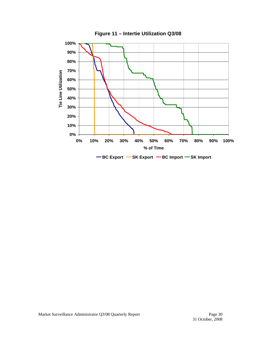

**Figure 11 – Intertie Utilization Q3/08**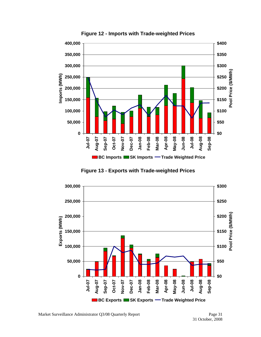

**Figure 12 - Imports with Trade-weighted Prices** 

**Figure 13 - Exports with Trade-weighted Prices** 

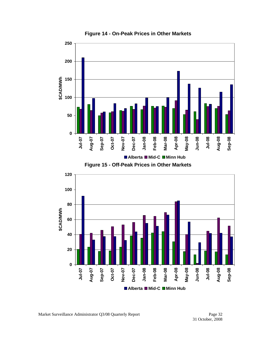

**Figure 14 - On-Peak Prices in Other Markets** 



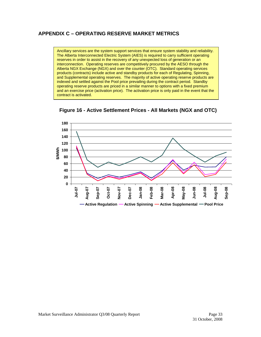#### **APPENDIX C – OPERATING RESERVE MARKET METRICS**

Ancillary services are the system support services that ensure system stability and reliability. The Alberta Interconnected Electric System (AIES) is required to carry sufficient operating reserves in order to assist in the recovery of any unexpected loss of generation or an interconnection. Operating reserves are competitively procured by the AESO through the Alberta NGX Exchange (NGX) and over the counter (OTC). Standard operating services products (contracts) include active and standby products for each of Regulating, Spinning, and Supplemental operating reserves. The majority of active operating reserve products are indexed and settled against the Pool price prevailing during the contract period. Standby operating reserve products are priced in a similar manner to options with a fixed premium and an exercise price (activation price). The activation price is only paid in the event that the contract is activated.



**Figure 16 - Active Settlement Prices - All Markets (NGX and OTC)**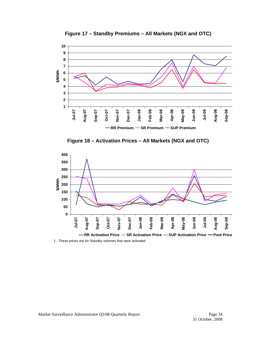

**Figure 17 – Standby Premiums – All Markets (NGX and OTC)** 





1 - These prices are for Standby volumes that were activated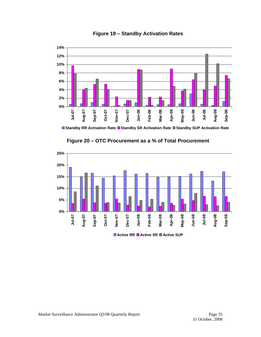



**Standby RR Activation Rate Standby SR Activation Rate Standby SUP Activation Rate**



**Figure 20 – OTC Procurement as a % of Total Procurement** 

**Active RR Active SR Active SUP**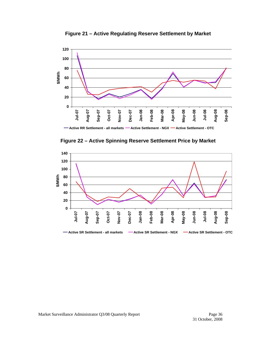

**Figure 21 – Active Regulating Reserve Settlement by Market** 



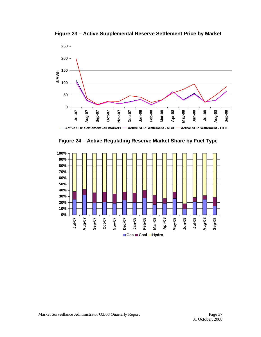

**Figure 23 – Active Supplemental Reserve Settlement Price by Market**